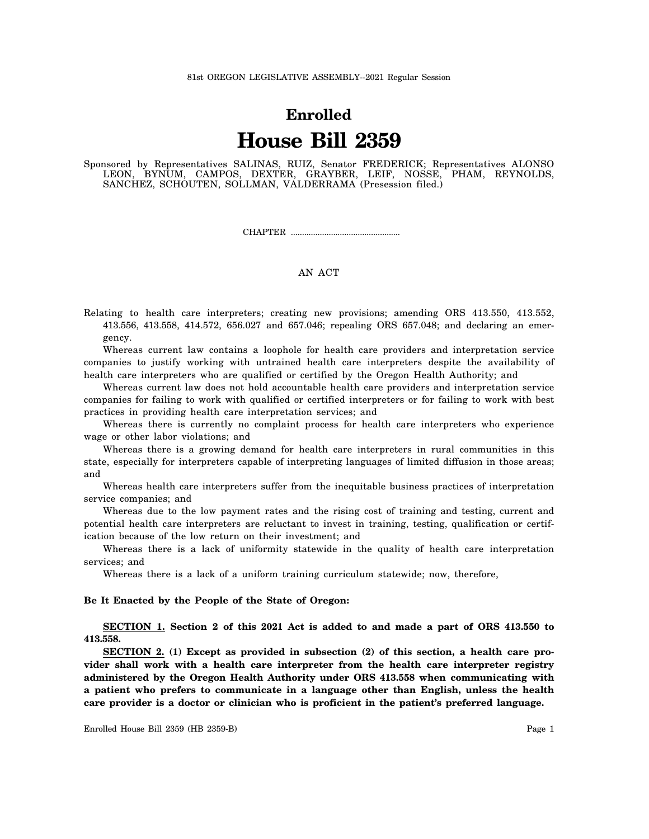#### 81st OREGON LEGISLATIVE ASSEMBLY--2021 Regular Session

# **Enrolled House Bill 2359**

Sponsored by Representatives SALINAS, RUIZ, Senator FREDERICK; Representatives ALONSO LEON, BYNUM, CAMPOS, DEXTER, GRAYBER, LEIF, NOSSE, PHAM, REYNOLDS, SANCHEZ, SCHOUTEN, SOLLMAN, VALDERRAMA (Presession filed.)

CHAPTER .................................................

# AN ACT

Relating to health care interpreters; creating new provisions; amending ORS 413.550, 413.552, 413.556, 413.558, 414.572, 656.027 and 657.046; repealing ORS 657.048; and declaring an emergency.

Whereas current law contains a loophole for health care providers and interpretation service companies to justify working with untrained health care interpreters despite the availability of health care interpreters who are qualified or certified by the Oregon Health Authority; and

Whereas current law does not hold accountable health care providers and interpretation service companies for failing to work with qualified or certified interpreters or for failing to work with best practices in providing health care interpretation services; and

Whereas there is currently no complaint process for health care interpreters who experience wage or other labor violations; and

Whereas there is a growing demand for health care interpreters in rural communities in this state, especially for interpreters capable of interpreting languages of limited diffusion in those areas; and

Whereas health care interpreters suffer from the inequitable business practices of interpretation service companies; and

Whereas due to the low payment rates and the rising cost of training and testing, current and potential health care interpreters are reluctant to invest in training, testing, qualification or certification because of the low return on their investment; and

Whereas there is a lack of uniformity statewide in the quality of health care interpretation services; and

Whereas there is a lack of a uniform training curriculum statewide; now, therefore,

### **Be It Enacted by the People of the State of Oregon:**

**SECTION 1. Section 2 of this 2021 Act is added to and made a part of ORS 413.550 to 413.558.**

**SECTION 2. (1) Except as provided in subsection (2) of this section, a health care provider shall work with a health care interpreter from the health care interpreter registry administered by the Oregon Health Authority under ORS 413.558 when communicating with a patient who prefers to communicate in a language other than English, unless the health care provider is a doctor or clinician who is proficient in the patient's preferred language.**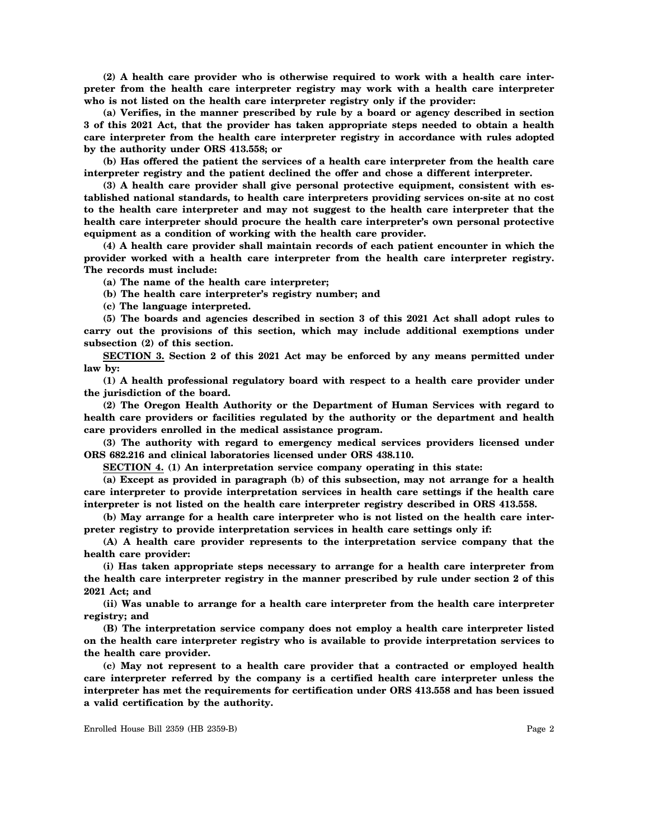**(2) A health care provider who is otherwise required to work with a health care interpreter from the health care interpreter registry may work with a health care interpreter who is not listed on the health care interpreter registry only if the provider:**

**(a) Verifies, in the manner prescribed by rule by a board or agency described in section 3 of this 2021 Act, that the provider has taken appropriate steps needed to obtain a health care interpreter from the health care interpreter registry in accordance with rules adopted by the authority under ORS 413.558; or**

**(b) Has offered the patient the services of a health care interpreter from the health care interpreter registry and the patient declined the offer and chose a different interpreter.**

**(3) A health care provider shall give personal protective equipment, consistent with established national standards, to health care interpreters providing services on-site at no cost to the health care interpreter and may not suggest to the health care interpreter that the health care interpreter should procure the health care interpreter's own personal protective equipment as a condition of working with the health care provider.**

**(4) A health care provider shall maintain records of each patient encounter in which the provider worked with a health care interpreter from the health care interpreter registry. The records must include:**

**(a) The name of the health care interpreter;**

**(b) The health care interpreter's registry number; and**

**(c) The language interpreted.**

**(5) The boards and agencies described in section 3 of this 2021 Act shall adopt rules to carry out the provisions of this section, which may include additional exemptions under subsection (2) of this section.**

**SECTION 3. Section 2 of this 2021 Act may be enforced by any means permitted under law by:**

**(1) A health professional regulatory board with respect to a health care provider under the jurisdiction of the board.**

**(2) The Oregon Health Authority or the Department of Human Services with regard to health care providers or facilities regulated by the authority or the department and health care providers enrolled in the medical assistance program.**

**(3) The authority with regard to emergency medical services providers licensed under ORS 682.216 and clinical laboratories licensed under ORS 438.110.**

**SECTION 4. (1) An interpretation service company operating in this state:**

**(a) Except as provided in paragraph (b) of this subsection, may not arrange for a health care interpreter to provide interpretation services in health care settings if the health care interpreter is not listed on the health care interpreter registry described in ORS 413.558.**

**(b) May arrange for a health care interpreter who is not listed on the health care interpreter registry to provide interpretation services in health care settings only if:**

**(A) A health care provider represents to the interpretation service company that the health care provider:**

**(i) Has taken appropriate steps necessary to arrange for a health care interpreter from the health care interpreter registry in the manner prescribed by rule under section 2 of this 2021 Act; and**

**(ii) Was unable to arrange for a health care interpreter from the health care interpreter registry; and**

**(B) The interpretation service company does not employ a health care interpreter listed on the health care interpreter registry who is available to provide interpretation services to the health care provider.**

**(c) May not represent to a health care provider that a contracted or employed health care interpreter referred by the company is a certified health care interpreter unless the interpreter has met the requirements for certification under ORS 413.558 and has been issued a valid certification by the authority.**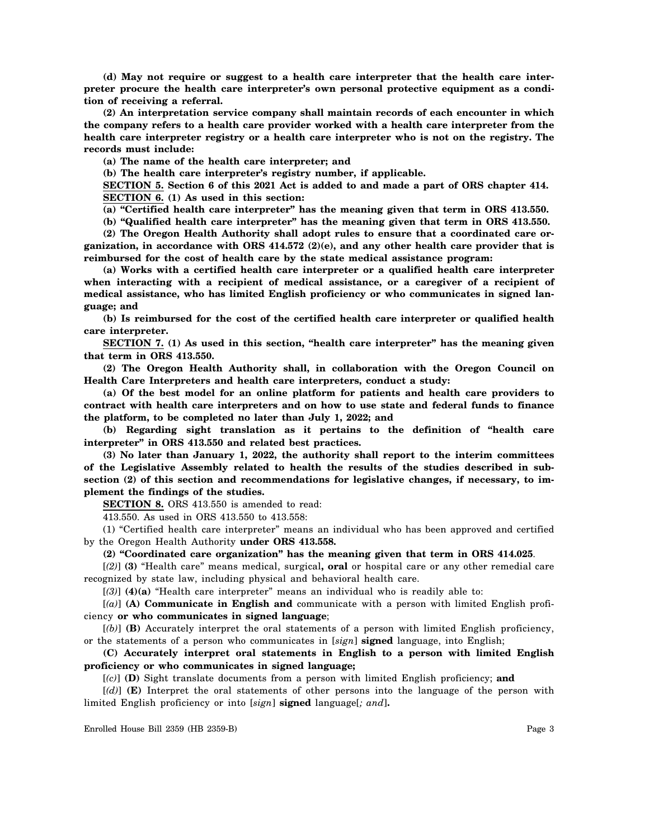**(d) May not require or suggest to a health care interpreter that the health care interpreter procure the health care interpreter's own personal protective equipment as a condition of receiving a referral.**

**(2) An interpretation service company shall maintain records of each encounter in which the company refers to a health care provider worked with a health care interpreter from the health care interpreter registry or a health care interpreter who is not on the registry. The records must include:**

**(a) The name of the health care interpreter; and**

**(b) The health care interpreter's registry number, if applicable.**

**SECTION 5. Section 6 of this 2021 Act is added to and made a part of ORS chapter 414. SECTION 6. (1) As used in this section:**

**(a) "Certified health care interpreter" has the meaning given that term in ORS 413.550.**

**(b) "Qualified health care interpreter" has the meaning given that term in ORS 413.550. (2) The Oregon Health Authority shall adopt rules to ensure that a coordinated care organization, in accordance with ORS 414.572 (2)(e), and any other health care provider that is reimbursed for the cost of health care by the state medical assistance program:**

**(a) Works with a certified health care interpreter or a qualified health care interpreter when interacting with a recipient of medical assistance, or a caregiver of a recipient of medical assistance, who has limited English proficiency or who communicates in signed language; and**

**(b) Is reimbursed for the cost of the certified health care interpreter or qualified health care interpreter.**

**SECTION 7. (1) As used in this section, "health care interpreter" has the meaning given that term in ORS 413.550.**

**(2) The Oregon Health Authority shall, in collaboration with the Oregon Council on Health Care Interpreters and health care interpreters, conduct a study:**

**(a) Of the best model for an online platform for patients and health care providers to contract with health care interpreters and on how to use state and federal funds to finance the platform, to be completed no later than July 1, 2022; and**

**(b) Regarding sight translation as it pertains to the definition of "health care interpreter" in ORS 413.550 and related best practices.**

**(3) No later than January 1, 2022, the authority shall report to the interim committees of the Legislative Assembly related to health the results of the studies described in subsection (2) of this section and recommendations for legislative changes, if necessary, to implement the findings of the studies.**

**SECTION 8.** ORS 413.550 is amended to read:

413.550. As used in ORS 413.550 to 413.558:

(1) "Certified health care interpreter" means an individual who has been approved and certified by the Oregon Health Authority **under ORS 413.558.**

**(2) "Coordinated care organization" has the meaning given that term in ORS 414.025**.

[*(2)*] **(3)** "Health care" means medical, surgical**, oral** or hospital care or any other remedial care recognized by state law, including physical and behavioral health care.

[*(3)*] **(4)(a)** "Health care interpreter" means an individual who is readily able to:

[*(a)*] **(A) Communicate in English and** communicate with a person with limited English proficiency **or who communicates in signed language**;

[*(b)*] **(B)** Accurately interpret the oral statements of a person with limited English proficiency, or the statements of a person who communicates in [*sign*] **signed** language, into English;

**(C) Accurately interpret oral statements in English to a person with limited English proficiency or who communicates in signed language;**

[*(c)*] **(D)** Sight translate documents from a person with limited English proficiency; **and**

[*(d)*] **(E)** Interpret the oral statements of other persons into the language of the person with limited English proficiency or into [*sign*] **signed** language[*; and*]**.**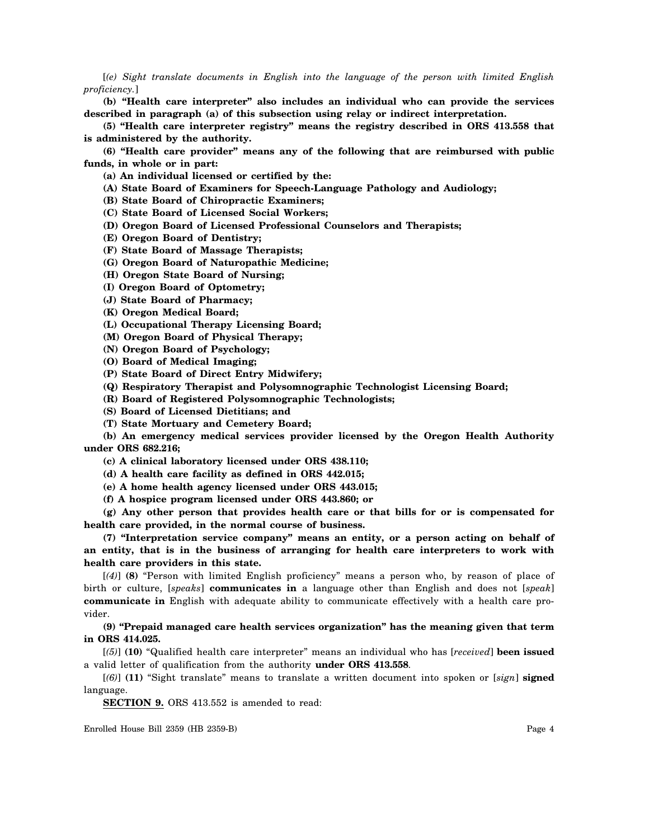[*(e) Sight translate documents in English into the language of the person with limited English proficiency.*]

**(b) "Health care interpreter" also includes an individual who can provide the services described in paragraph (a) of this subsection using relay or indirect interpretation.**

**(5) "Health care interpreter registry" means the registry described in ORS 413.558 that is administered by the authority.**

**(6) "Health care provider" means any of the following that are reimbursed with public funds, in whole or in part:**

**(a) An individual licensed or certified by the:**

**(A) State Board of Examiners for Speech-Language Pathology and Audiology;**

**(B) State Board of Chiropractic Examiners;**

**(C) State Board of Licensed Social Workers;**

**(D) Oregon Board of Licensed Professional Counselors and Therapists;**

**(E) Oregon Board of Dentistry;**

**(F) State Board of Massage Therapists;**

**(G) Oregon Board of Naturopathic Medicine;**

**(H) Oregon State Board of Nursing;**

**(I) Oregon Board of Optometry;**

**(J) State Board of Pharmacy;**

**(K) Oregon Medical Board;**

**(L) Occupational Therapy Licensing Board;**

**(M) Oregon Board of Physical Therapy;**

**(N) Oregon Board of Psychology;**

**(O) Board of Medical Imaging;**

**(P) State Board of Direct Entry Midwifery;**

**(Q) Respiratory Therapist and Polysomnographic Technologist Licensing Board;**

**(R) Board of Registered Polysomnographic Technologists;**

**(S) Board of Licensed Dietitians; and**

**(T) State Mortuary and Cemetery Board;**

**(b) An emergency medical services provider licensed by the Oregon Health Authority under ORS 682.216;**

**(c) A clinical laboratory licensed under ORS 438.110;**

**(d) A health care facility as defined in ORS 442.015;**

**(e) A home health agency licensed under ORS 443.015;**

**(f) A hospice program licensed under ORS 443.860; or**

**(g) Any other person that provides health care or that bills for or is compensated for health care provided, in the normal course of business.**

**(7) "Interpretation service company" means an entity, or a person acting on behalf of an entity, that is in the business of arranging for health care interpreters to work with health care providers in this state.**

[*(4)*] **(8)** "Person with limited English proficiency" means a person who, by reason of place of birth or culture, [*speaks*] **communicates in** a language other than English and does not [*speak*] **communicate in** English with adequate ability to communicate effectively with a health care provider.

**(9) "Prepaid managed care health services organization" has the meaning given that term in ORS 414.025.**

[*(5)*] **(10)** "Qualified health care interpreter" means an individual who has [*received*] **been issued** a valid letter of qualification from the authority **under ORS 413.558**.

[*(6)*] **(11)** "Sight translate" means to translate a written document into spoken or [*sign*] **signed** language.

**SECTION 9.** ORS 413.552 is amended to read: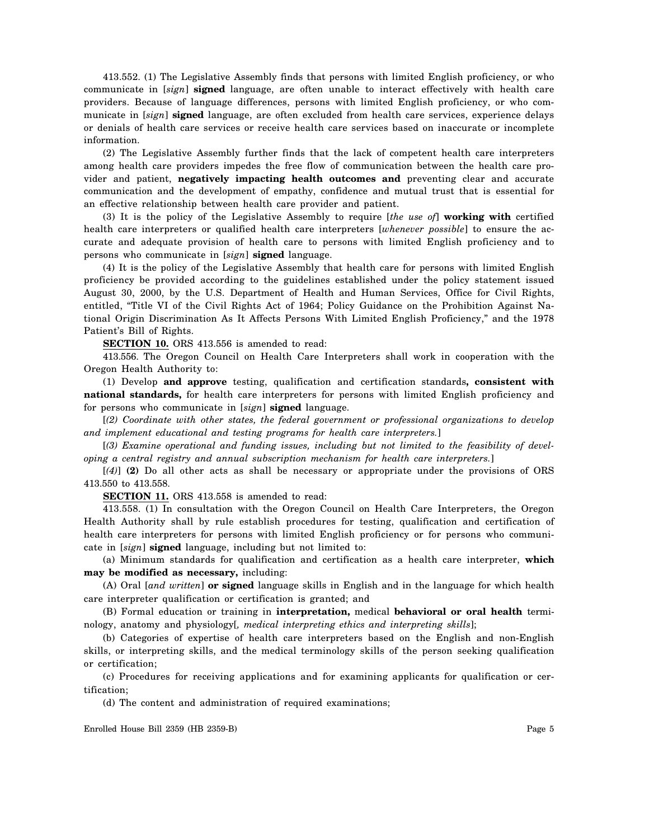413.552. (1) The Legislative Assembly finds that persons with limited English proficiency, or who communicate in [*sign*] **signed** language, are often unable to interact effectively with health care providers. Because of language differences, persons with limited English proficiency, or who communicate in [*sign*] **signed** language, are often excluded from health care services, experience delays or denials of health care services or receive health care services based on inaccurate or incomplete information.

(2) The Legislative Assembly further finds that the lack of competent health care interpreters among health care providers impedes the free flow of communication between the health care provider and patient, **negatively impacting health outcomes and** preventing clear and accurate communication and the development of empathy, confidence and mutual trust that is essential for an effective relationship between health care provider and patient.

(3) It is the policy of the Legislative Assembly to require [*the use of*] **working with** certified health care interpreters or qualified health care interpreters [*whenever possible*] to ensure the accurate and adequate provision of health care to persons with limited English proficiency and to persons who communicate in [*sign*] **signed** language.

(4) It is the policy of the Legislative Assembly that health care for persons with limited English proficiency be provided according to the guidelines established under the policy statement issued August 30, 2000, by the U.S. Department of Health and Human Services, Office for Civil Rights, entitled, "Title VI of the Civil Rights Act of 1964; Policy Guidance on the Prohibition Against National Origin Discrimination As It Affects Persons With Limited English Proficiency," and the 1978 Patient's Bill of Rights.

**SECTION 10.** ORS 413.556 is amended to read:

413.556. The Oregon Council on Health Care Interpreters shall work in cooperation with the Oregon Health Authority to:

(1) Develop **and approve** testing, qualification and certification standards**, consistent with national standards,** for health care interpreters for persons with limited English proficiency and for persons who communicate in [*sign*] **signed** language.

[*(2) Coordinate with other states, the federal government or professional organizations to develop and implement educational and testing programs for health care interpreters.*]

[*(3) Examine operational and funding issues, including but not limited to the feasibility of developing a central registry and annual subscription mechanism for health care interpreters.*]

[*(4)*] **(2)** Do all other acts as shall be necessary or appropriate under the provisions of ORS 413.550 to 413.558.

**SECTION 11.** ORS 413.558 is amended to read:

413.558. (1) In consultation with the Oregon Council on Health Care Interpreters, the Oregon Health Authority shall by rule establish procedures for testing, qualification and certification of health care interpreters for persons with limited English proficiency or for persons who communicate in [*sign*] **signed** language, including but not limited to:

(a) Minimum standards for qualification and certification as a health care interpreter, **which may be modified as necessary,** including:

(A) Oral [*and written*] **or signed** language skills in English and in the language for which health care interpreter qualification or certification is granted; and

(B) Formal education or training in **interpretation,** medical **behavioral or oral health** terminology, anatomy and physiology[*, medical interpreting ethics and interpreting skills*];

(b) Categories of expertise of health care interpreters based on the English and non-English skills, or interpreting skills, and the medical terminology skills of the person seeking qualification or certification;

(c) Procedures for receiving applications and for examining applicants for qualification or certification;

(d) The content and administration of required examinations;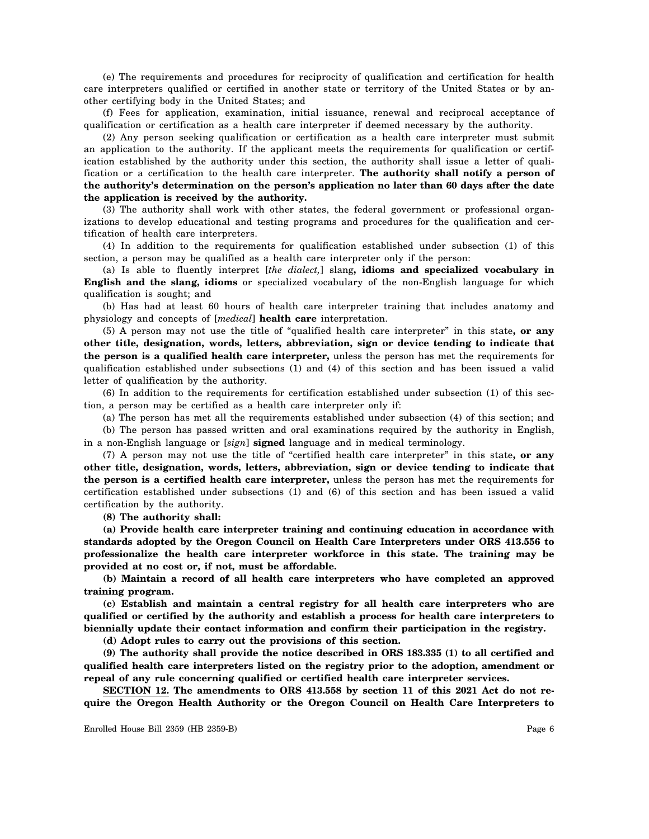(e) The requirements and procedures for reciprocity of qualification and certification for health care interpreters qualified or certified in another state or territory of the United States or by another certifying body in the United States; and

(f) Fees for application, examination, initial issuance, renewal and reciprocal acceptance of qualification or certification as a health care interpreter if deemed necessary by the authority.

(2) Any person seeking qualification or certification as a health care interpreter must submit an application to the authority. If the applicant meets the requirements for qualification or certification established by the authority under this section, the authority shall issue a letter of qualification or a certification to the health care interpreter. **The authority shall notify a person of the authority's determination on the person's application no later than 60 days after the date the application is received by the authority.**

(3) The authority shall work with other states, the federal government or professional organizations to develop educational and testing programs and procedures for the qualification and certification of health care interpreters.

(4) In addition to the requirements for qualification established under subsection (1) of this section, a person may be qualified as a health care interpreter only if the person:

(a) Is able to fluently interpret [*the dialect,*] slang**, idioms and specialized vocabulary in English and the slang, idioms** or specialized vocabulary of the non-English language for which qualification is sought; and

(b) Has had at least 60 hours of health care interpreter training that includes anatomy and physiology and concepts of [*medical*] **health care** interpretation.

(5) A person may not use the title of "qualified health care interpreter" in this state**, or any other title, designation, words, letters, abbreviation, sign or device tending to indicate that the person is a qualified health care interpreter,** unless the person has met the requirements for qualification established under subsections (1) and (4) of this section and has been issued a valid letter of qualification by the authority.

(6) In addition to the requirements for certification established under subsection (1) of this section, a person may be certified as a health care interpreter only if:

(a) The person has met all the requirements established under subsection (4) of this section; and

(b) The person has passed written and oral examinations required by the authority in English, in a non-English language or [*sign*] **signed** language and in medical terminology.

(7) A person may not use the title of "certified health care interpreter" in this state**, or any other title, designation, words, letters, abbreviation, sign or device tending to indicate that the person is a certified health care interpreter,** unless the person has met the requirements for certification established under subsections (1) and (6) of this section and has been issued a valid certification by the authority.

**(8) The authority shall:**

**(a) Provide health care interpreter training and continuing education in accordance with standards adopted by the Oregon Council on Health Care Interpreters under ORS 413.556 to professionalize the health care interpreter workforce in this state. The training may be provided at no cost or, if not, must be affordable.**

**(b) Maintain a record of all health care interpreters who have completed an approved training program.**

**(c) Establish and maintain a central registry for all health care interpreters who are qualified or certified by the authority and establish a process for health care interpreters to biennially update their contact information and confirm their participation in the registry.**

**(d) Adopt rules to carry out the provisions of this section.**

**(9) The authority shall provide the notice described in ORS 183.335 (1) to all certified and qualified health care interpreters listed on the registry prior to the adoption, amendment or repeal of any rule concerning qualified or certified health care interpreter services.**

**SECTION 12. The amendments to ORS 413.558 by section 11 of this 2021 Act do not require the Oregon Health Authority or the Oregon Council on Health Care Interpreters to**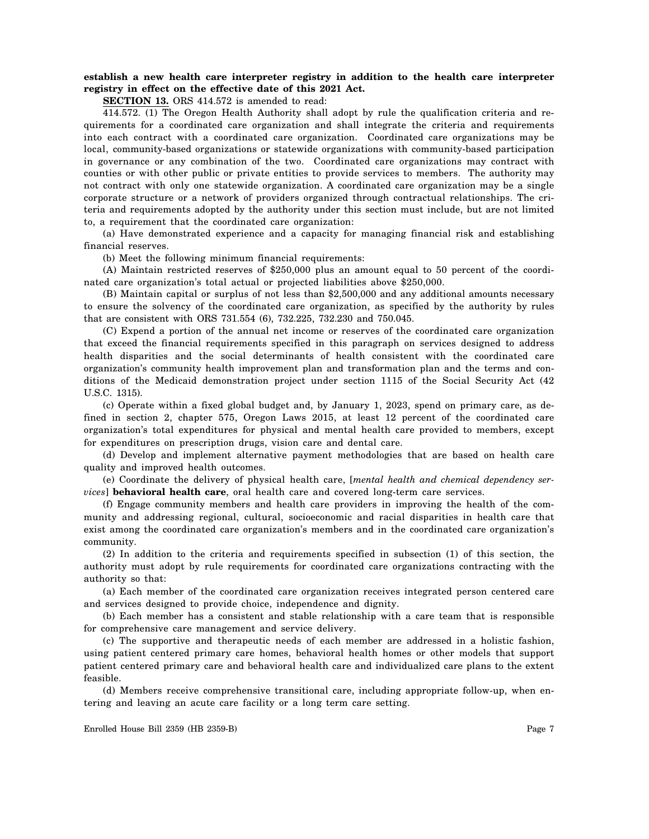# **establish a new health care interpreter registry in addition to the health care interpreter registry in effect on the effective date of this 2021 Act.**

**SECTION 13.** ORS 414.572 is amended to read:

414.572. (1) The Oregon Health Authority shall adopt by rule the qualification criteria and requirements for a coordinated care organization and shall integrate the criteria and requirements into each contract with a coordinated care organization. Coordinated care organizations may be local, community-based organizations or statewide organizations with community-based participation in governance or any combination of the two. Coordinated care organizations may contract with counties or with other public or private entities to provide services to members. The authority may not contract with only one statewide organization. A coordinated care organization may be a single corporate structure or a network of providers organized through contractual relationships. The criteria and requirements adopted by the authority under this section must include, but are not limited to, a requirement that the coordinated care organization:

(a) Have demonstrated experience and a capacity for managing financial risk and establishing financial reserves.

(b) Meet the following minimum financial requirements:

(A) Maintain restricted reserves of \$250,000 plus an amount equal to 50 percent of the coordinated care organization's total actual or projected liabilities above \$250,000.

(B) Maintain capital or surplus of not less than \$2,500,000 and any additional amounts necessary to ensure the solvency of the coordinated care organization, as specified by the authority by rules that are consistent with ORS 731.554 (6), 732.225, 732.230 and 750.045.

(C) Expend a portion of the annual net income or reserves of the coordinated care organization that exceed the financial requirements specified in this paragraph on services designed to address health disparities and the social determinants of health consistent with the coordinated care organization's community health improvement plan and transformation plan and the terms and conditions of the Medicaid demonstration project under section 1115 of the Social Security Act (42 U.S.C. 1315).

(c) Operate within a fixed global budget and, by January 1, 2023, spend on primary care, as defined in section 2, chapter 575, Oregon Laws 2015, at least 12 percent of the coordinated care organization's total expenditures for physical and mental health care provided to members, except for expenditures on prescription drugs, vision care and dental care.

(d) Develop and implement alternative payment methodologies that are based on health care quality and improved health outcomes.

(e) Coordinate the delivery of physical health care, [*mental health and chemical dependency services*] **behavioral health care**, oral health care and covered long-term care services.

(f) Engage community members and health care providers in improving the health of the community and addressing regional, cultural, socioeconomic and racial disparities in health care that exist among the coordinated care organization's members and in the coordinated care organization's community.

(2) In addition to the criteria and requirements specified in subsection (1) of this section, the authority must adopt by rule requirements for coordinated care organizations contracting with the authority so that:

(a) Each member of the coordinated care organization receives integrated person centered care and services designed to provide choice, independence and dignity.

(b) Each member has a consistent and stable relationship with a care team that is responsible for comprehensive care management and service delivery.

(c) The supportive and therapeutic needs of each member are addressed in a holistic fashion, using patient centered primary care homes, behavioral health homes or other models that support patient centered primary care and behavioral health care and individualized care plans to the extent feasible.

(d) Members receive comprehensive transitional care, including appropriate follow-up, when entering and leaving an acute care facility or a long term care setting.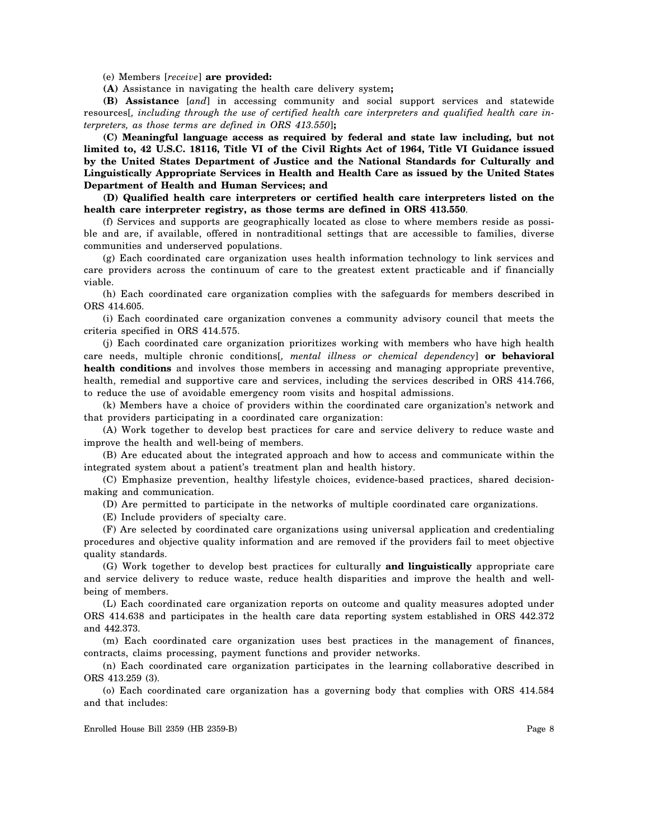(e) Members [*receive*] **are provided:**

**(A)** Assistance in navigating the health care delivery system**;**

**(B) Assistance** [*and*] in accessing community and social support services and statewide resources[*, including through the use of certified health care interpreters and qualified health care interpreters, as those terms are defined in ORS 413.550*]**;**

**(C) Meaningful language access as required by federal and state law including, but not limited to, 42 U.S.C. 18116, Title VI of the Civil Rights Act of 1964, Title VI Guidance issued by the United States Department of Justice and the National Standards for Culturally and Linguistically Appropriate Services in Health and Health Care as issued by the United States Department of Health and Human Services; and**

**(D) Qualified health care interpreters or certified health care interpreters listed on the health care interpreter registry, as those terms are defined in ORS 413.550**.

(f) Services and supports are geographically located as close to where members reside as possible and are, if available, offered in nontraditional settings that are accessible to families, diverse communities and underserved populations.

(g) Each coordinated care organization uses health information technology to link services and care providers across the continuum of care to the greatest extent practicable and if financially viable.

(h) Each coordinated care organization complies with the safeguards for members described in ORS 414.605.

(i) Each coordinated care organization convenes a community advisory council that meets the criteria specified in ORS 414.575.

(j) Each coordinated care organization prioritizes working with members who have high health care needs, multiple chronic conditions[*, mental illness or chemical dependency*] **or behavioral health conditions** and involves those members in accessing and managing appropriate preventive, health, remedial and supportive care and services, including the services described in ORS 414.766, to reduce the use of avoidable emergency room visits and hospital admissions.

(k) Members have a choice of providers within the coordinated care organization's network and that providers participating in a coordinated care organization:

(A) Work together to develop best practices for care and service delivery to reduce waste and improve the health and well-being of members.

(B) Are educated about the integrated approach and how to access and communicate within the integrated system about a patient's treatment plan and health history.

(C) Emphasize prevention, healthy lifestyle choices, evidence-based practices, shared decisionmaking and communication.

(D) Are permitted to participate in the networks of multiple coordinated care organizations.

(E) Include providers of specialty care.

(F) Are selected by coordinated care organizations using universal application and credentialing procedures and objective quality information and are removed if the providers fail to meet objective quality standards.

(G) Work together to develop best practices for culturally **and linguistically** appropriate care and service delivery to reduce waste, reduce health disparities and improve the health and wellbeing of members.

(L) Each coordinated care organization reports on outcome and quality measures adopted under ORS 414.638 and participates in the health care data reporting system established in ORS 442.372 and 442.373.

(m) Each coordinated care organization uses best practices in the management of finances, contracts, claims processing, payment functions and provider networks.

(n) Each coordinated care organization participates in the learning collaborative described in ORS 413.259 (3).

(o) Each coordinated care organization has a governing body that complies with ORS 414.584 and that includes: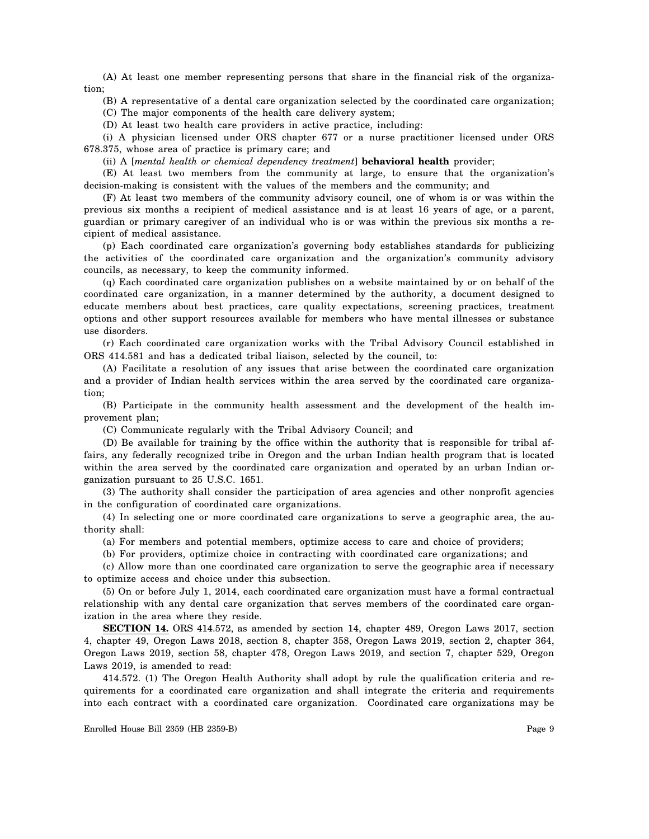(A) At least one member representing persons that share in the financial risk of the organization;

(B) A representative of a dental care organization selected by the coordinated care organization;

(C) The major components of the health care delivery system;

(D) At least two health care providers in active practice, including:

(i) A physician licensed under ORS chapter 677 or a nurse practitioner licensed under ORS 678.375, whose area of practice is primary care; and

(ii) A [*mental health or chemical dependency treatment*] **behavioral health** provider;

(E) At least two members from the community at large, to ensure that the organization's decision-making is consistent with the values of the members and the community; and

(F) At least two members of the community advisory council, one of whom is or was within the previous six months a recipient of medical assistance and is at least 16 years of age, or a parent, guardian or primary caregiver of an individual who is or was within the previous six months a recipient of medical assistance.

(p) Each coordinated care organization's governing body establishes standards for publicizing the activities of the coordinated care organization and the organization's community advisory councils, as necessary, to keep the community informed.

(q) Each coordinated care organization publishes on a website maintained by or on behalf of the coordinated care organization, in a manner determined by the authority, a document designed to educate members about best practices, care quality expectations, screening practices, treatment options and other support resources available for members who have mental illnesses or substance use disorders.

(r) Each coordinated care organization works with the Tribal Advisory Council established in ORS 414.581 and has a dedicated tribal liaison, selected by the council, to:

(A) Facilitate a resolution of any issues that arise between the coordinated care organization and a provider of Indian health services within the area served by the coordinated care organization;

(B) Participate in the community health assessment and the development of the health improvement plan;

(C) Communicate regularly with the Tribal Advisory Council; and

(D) Be available for training by the office within the authority that is responsible for tribal affairs, any federally recognized tribe in Oregon and the urban Indian health program that is located within the area served by the coordinated care organization and operated by an urban Indian organization pursuant to 25 U.S.C. 1651.

(3) The authority shall consider the participation of area agencies and other nonprofit agencies in the configuration of coordinated care organizations.

(4) In selecting one or more coordinated care organizations to serve a geographic area, the authority shall:

(a) For members and potential members, optimize access to care and choice of providers;

(b) For providers, optimize choice in contracting with coordinated care organizations; and

(c) Allow more than one coordinated care organization to serve the geographic area if necessary to optimize access and choice under this subsection.

(5) On or before July 1, 2014, each coordinated care organization must have a formal contractual relationship with any dental care organization that serves members of the coordinated care organization in the area where they reside.

**SECTION 14.** ORS 414.572, as amended by section 14, chapter 489, Oregon Laws 2017, section 4, chapter 49, Oregon Laws 2018, section 8, chapter 358, Oregon Laws 2019, section 2, chapter 364, Oregon Laws 2019, section 58, chapter 478, Oregon Laws 2019, and section 7, chapter 529, Oregon Laws 2019, is amended to read:

414.572. (1) The Oregon Health Authority shall adopt by rule the qualification criteria and requirements for a coordinated care organization and shall integrate the criteria and requirements into each contract with a coordinated care organization. Coordinated care organizations may be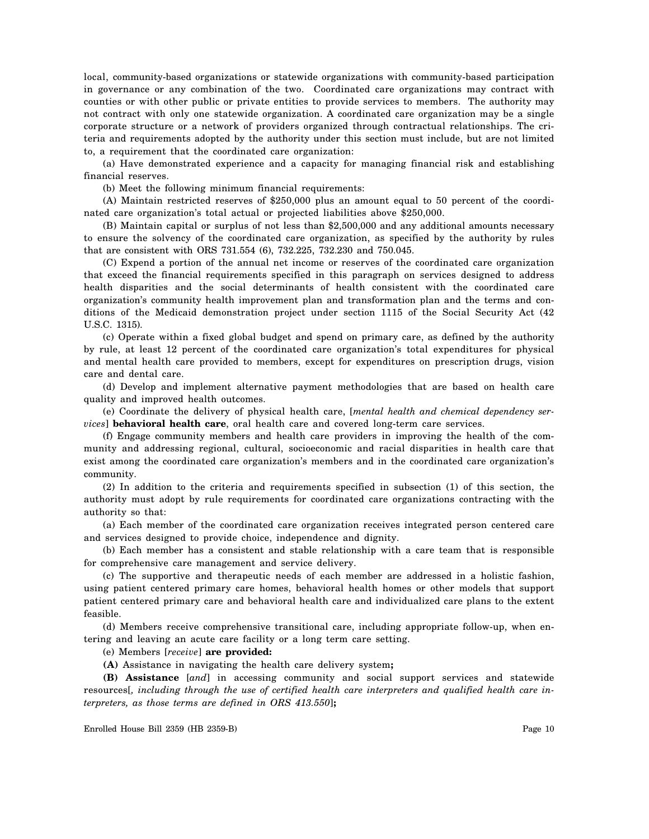local, community-based organizations or statewide organizations with community-based participation in governance or any combination of the two. Coordinated care organizations may contract with counties or with other public or private entities to provide services to members. The authority may not contract with only one statewide organization. A coordinated care organization may be a single corporate structure or a network of providers organized through contractual relationships. The criteria and requirements adopted by the authority under this section must include, but are not limited to, a requirement that the coordinated care organization:

(a) Have demonstrated experience and a capacity for managing financial risk and establishing financial reserves.

(b) Meet the following minimum financial requirements:

(A) Maintain restricted reserves of \$250,000 plus an amount equal to 50 percent of the coordinated care organization's total actual or projected liabilities above \$250,000.

(B) Maintain capital or surplus of not less than \$2,500,000 and any additional amounts necessary to ensure the solvency of the coordinated care organization, as specified by the authority by rules that are consistent with ORS 731.554 (6), 732.225, 732.230 and 750.045.

(C) Expend a portion of the annual net income or reserves of the coordinated care organization that exceed the financial requirements specified in this paragraph on services designed to address health disparities and the social determinants of health consistent with the coordinated care organization's community health improvement plan and transformation plan and the terms and conditions of the Medicaid demonstration project under section 1115 of the Social Security Act (42 U.S.C. 1315).

(c) Operate within a fixed global budget and spend on primary care, as defined by the authority by rule, at least 12 percent of the coordinated care organization's total expenditures for physical and mental health care provided to members, except for expenditures on prescription drugs, vision care and dental care.

(d) Develop and implement alternative payment methodologies that are based on health care quality and improved health outcomes.

(e) Coordinate the delivery of physical health care, [*mental health and chemical dependency services*] **behavioral health care**, oral health care and covered long-term care services.

(f) Engage community members and health care providers in improving the health of the community and addressing regional, cultural, socioeconomic and racial disparities in health care that exist among the coordinated care organization's members and in the coordinated care organization's community.

(2) In addition to the criteria and requirements specified in subsection (1) of this section, the authority must adopt by rule requirements for coordinated care organizations contracting with the authority so that:

(a) Each member of the coordinated care organization receives integrated person centered care and services designed to provide choice, independence and dignity.

(b) Each member has a consistent and stable relationship with a care team that is responsible for comprehensive care management and service delivery.

(c) The supportive and therapeutic needs of each member are addressed in a holistic fashion, using patient centered primary care homes, behavioral health homes or other models that support patient centered primary care and behavioral health care and individualized care plans to the extent feasible.

(d) Members receive comprehensive transitional care, including appropriate follow-up, when entering and leaving an acute care facility or a long term care setting.

(e) Members [*receive*] **are provided:**

**(A)** Assistance in navigating the health care delivery system**;**

**(B) Assistance** [*and*] in accessing community and social support services and statewide resources[*, including through the use of certified health care interpreters and qualified health care interpreters, as those terms are defined in ORS 413.550*]**;**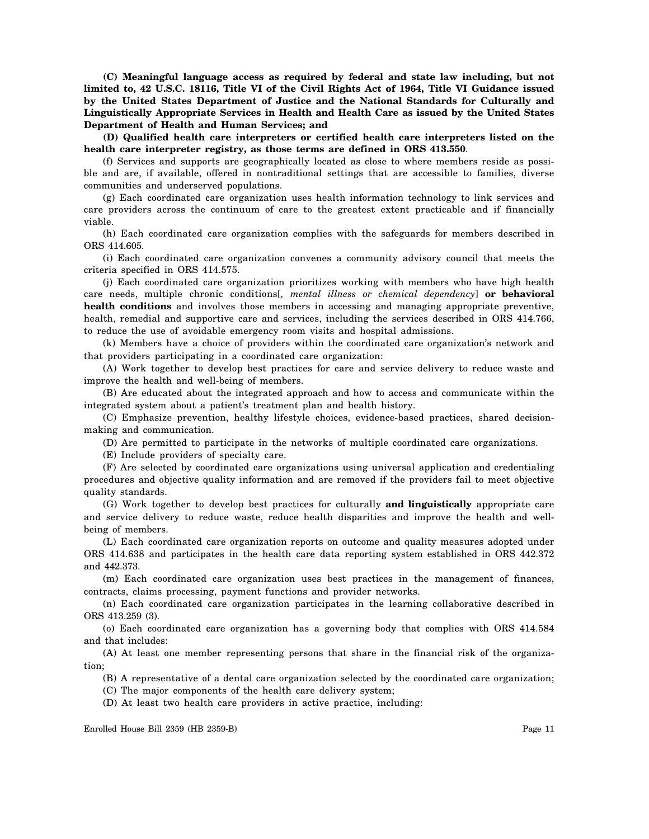**(C) Meaningful language access as required by federal and state law including, but not limited to, 42 U.S.C. 18116, Title VI of the Civil Rights Act of 1964, Title VI Guidance issued by the United States Department of Justice and the National Standards for Culturally and Linguistically Appropriate Services in Health and Health Care as issued by the United States Department of Health and Human Services; and**

**(D) Qualified health care interpreters or certified health care interpreters listed on the health care interpreter registry, as those terms are defined in ORS 413.550**.

(f) Services and supports are geographically located as close to where members reside as possible and are, if available, offered in nontraditional settings that are accessible to families, diverse communities and underserved populations.

(g) Each coordinated care organization uses health information technology to link services and care providers across the continuum of care to the greatest extent practicable and if financially viable.

(h) Each coordinated care organization complies with the safeguards for members described in ORS 414.605.

(i) Each coordinated care organization convenes a community advisory council that meets the criteria specified in ORS 414.575.

(j) Each coordinated care organization prioritizes working with members who have high health care needs, multiple chronic conditions[*, mental illness or chemical dependency*] **or behavioral health conditions** and involves those members in accessing and managing appropriate preventive, health, remedial and supportive care and services, including the services described in ORS 414.766, to reduce the use of avoidable emergency room visits and hospital admissions.

(k) Members have a choice of providers within the coordinated care organization's network and that providers participating in a coordinated care organization:

(A) Work together to develop best practices for care and service delivery to reduce waste and improve the health and well-being of members.

(B) Are educated about the integrated approach and how to access and communicate within the integrated system about a patient's treatment plan and health history.

(C) Emphasize prevention, healthy lifestyle choices, evidence-based practices, shared decisionmaking and communication.

(D) Are permitted to participate in the networks of multiple coordinated care organizations.

(E) Include providers of specialty care.

(F) Are selected by coordinated care organizations using universal application and credentialing procedures and objective quality information and are removed if the providers fail to meet objective quality standards.

(G) Work together to develop best practices for culturally **and linguistically** appropriate care and service delivery to reduce waste, reduce health disparities and improve the health and wellbeing of members.

(L) Each coordinated care organization reports on outcome and quality measures adopted under ORS 414.638 and participates in the health care data reporting system established in ORS 442.372 and 442.373.

(m) Each coordinated care organization uses best practices in the management of finances, contracts, claims processing, payment functions and provider networks.

(n) Each coordinated care organization participates in the learning collaborative described in ORS 413.259 (3).

(o) Each coordinated care organization has a governing body that complies with ORS 414.584 and that includes:

(A) At least one member representing persons that share in the financial risk of the organization;

(B) A representative of a dental care organization selected by the coordinated care organization;

(C) The major components of the health care delivery system;

(D) At least two health care providers in active practice, including: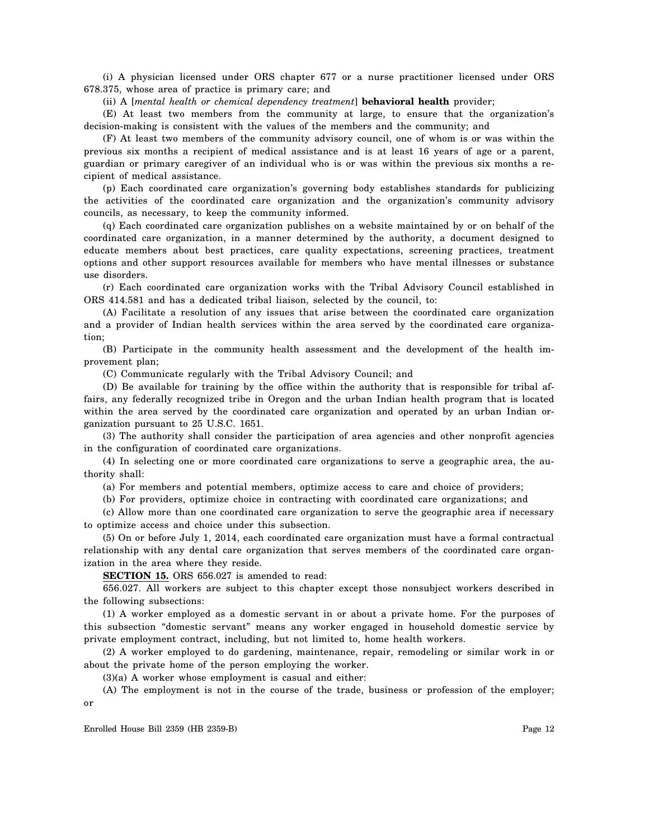(i) A physician licensed under ORS chapter 677 or a nurse practitioner licensed under ORS 678.375, whose area of practice is primary care; and

(ii) A [*mental health or chemical dependency treatment*] **behavioral health** provider;

(E) At least two members from the community at large, to ensure that the organization's decision-making is consistent with the values of the members and the community; and

(F) At least two members of the community advisory council, one of whom is or was within the previous six months a recipient of medical assistance and is at least 16 years of age or a parent, guardian or primary caregiver of an individual who is or was within the previous six months a recipient of medical assistance.

(p) Each coordinated care organization's governing body establishes standards for publicizing the activities of the coordinated care organization and the organization's community advisory councils, as necessary, to keep the community informed.

(q) Each coordinated care organization publishes on a website maintained by or on behalf of the coordinated care organization, in a manner determined by the authority, a document designed to educate members about best practices, care quality expectations, screening practices, treatment options and other support resources available for members who have mental illnesses or substance use disorders.

(r) Each coordinated care organization works with the Tribal Advisory Council established in ORS 414.581 and has a dedicated tribal liaison, selected by the council, to:

(A) Facilitate a resolution of any issues that arise between the coordinated care organization and a provider of Indian health services within the area served by the coordinated care organization;

(B) Participate in the community health assessment and the development of the health improvement plan;

(C) Communicate regularly with the Tribal Advisory Council; and

(D) Be available for training by the office within the authority that is responsible for tribal affairs, any federally recognized tribe in Oregon and the urban Indian health program that is located within the area served by the coordinated care organization and operated by an urban Indian organization pursuant to 25 U.S.C. 1651.

(3) The authority shall consider the participation of area agencies and other nonprofit agencies in the configuration of coordinated care organizations.

(4) In selecting one or more coordinated care organizations to serve a geographic area, the authority shall:

(a) For members and potential members, optimize access to care and choice of providers;

(b) For providers, optimize choice in contracting with coordinated care organizations; and

(c) Allow more than one coordinated care organization to serve the geographic area if necessary to optimize access and choice under this subsection.

(5) On or before July 1, 2014, each coordinated care organization must have a formal contractual relationship with any dental care organization that serves members of the coordinated care organization in the area where they reside.

**SECTION 15.** ORS 656.027 is amended to read:

656.027. All workers are subject to this chapter except those nonsubject workers described in the following subsections:

(1) A worker employed as a domestic servant in or about a private home. For the purposes of this subsection "domestic servant" means any worker engaged in household domestic service by private employment contract, including, but not limited to, home health workers.

(2) A worker employed to do gardening, maintenance, repair, remodeling or similar work in or about the private home of the person employing the worker.

(3)(a) A worker whose employment is casual and either:

(A) The employment is not in the course of the trade, business or profession of the employer; or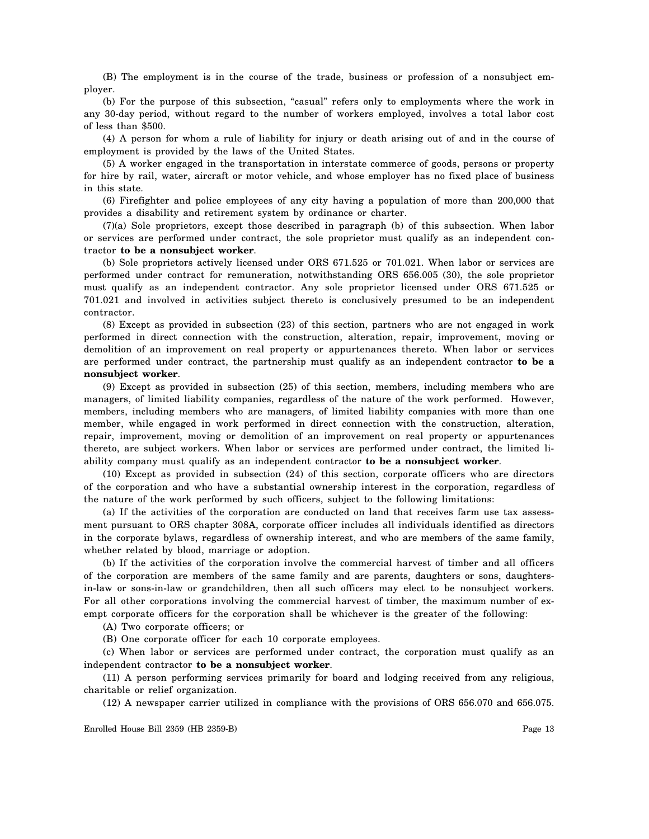(B) The employment is in the course of the trade, business or profession of a nonsubject employer.

(b) For the purpose of this subsection, "casual" refers only to employments where the work in any 30-day period, without regard to the number of workers employed, involves a total labor cost of less than \$500.

(4) A person for whom a rule of liability for injury or death arising out of and in the course of employment is provided by the laws of the United States.

(5) A worker engaged in the transportation in interstate commerce of goods, persons or property for hire by rail, water, aircraft or motor vehicle, and whose employer has no fixed place of business in this state.

(6) Firefighter and police employees of any city having a population of more than 200,000 that provides a disability and retirement system by ordinance or charter.

(7)(a) Sole proprietors, except those described in paragraph (b) of this subsection. When labor or services are performed under contract, the sole proprietor must qualify as an independent contractor **to be a nonsubject worker**.

(b) Sole proprietors actively licensed under ORS 671.525 or 701.021. When labor or services are performed under contract for remuneration, notwithstanding ORS 656.005 (30), the sole proprietor must qualify as an independent contractor. Any sole proprietor licensed under ORS 671.525 or 701.021 and involved in activities subject thereto is conclusively presumed to be an independent contractor.

(8) Except as provided in subsection (23) of this section, partners who are not engaged in work performed in direct connection with the construction, alteration, repair, improvement, moving or demolition of an improvement on real property or appurtenances thereto. When labor or services are performed under contract, the partnership must qualify as an independent contractor **to be a nonsubject worker**.

(9) Except as provided in subsection (25) of this section, members, including members who are managers, of limited liability companies, regardless of the nature of the work performed. However, members, including members who are managers, of limited liability companies with more than one member, while engaged in work performed in direct connection with the construction, alteration, repair, improvement, moving or demolition of an improvement on real property or appurtenances thereto, are subject workers. When labor or services are performed under contract, the limited liability company must qualify as an independent contractor **to be a nonsubject worker**.

(10) Except as provided in subsection (24) of this section, corporate officers who are directors of the corporation and who have a substantial ownership interest in the corporation, regardless of the nature of the work performed by such officers, subject to the following limitations:

(a) If the activities of the corporation are conducted on land that receives farm use tax assessment pursuant to ORS chapter 308A, corporate officer includes all individuals identified as directors in the corporate bylaws, regardless of ownership interest, and who are members of the same family, whether related by blood, marriage or adoption.

(b) If the activities of the corporation involve the commercial harvest of timber and all officers of the corporation are members of the same family and are parents, daughters or sons, daughtersin-law or sons-in-law or grandchildren, then all such officers may elect to be nonsubject workers. For all other corporations involving the commercial harvest of timber, the maximum number of exempt corporate officers for the corporation shall be whichever is the greater of the following:

(A) Two corporate officers; or

(B) One corporate officer for each 10 corporate employees.

(c) When labor or services are performed under contract, the corporation must qualify as an independent contractor **to be a nonsubject worker**.

(11) A person performing services primarily for board and lodging received from any religious, charitable or relief organization.

(12) A newspaper carrier utilized in compliance with the provisions of ORS 656.070 and 656.075.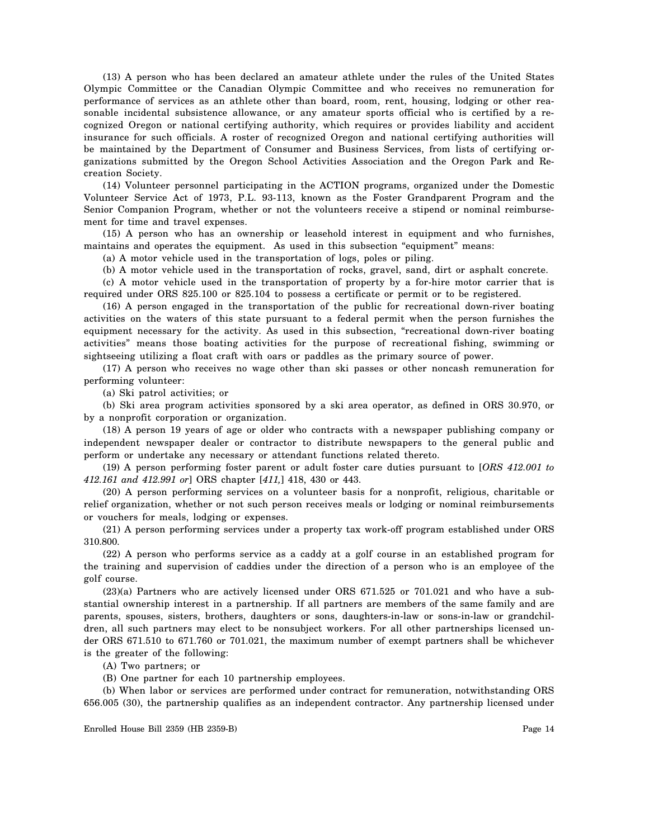(13) A person who has been declared an amateur athlete under the rules of the United States Olympic Committee or the Canadian Olympic Committee and who receives no remuneration for performance of services as an athlete other than board, room, rent, housing, lodging or other reasonable incidental subsistence allowance, or any amateur sports official who is certified by a recognized Oregon or national certifying authority, which requires or provides liability and accident insurance for such officials. A roster of recognized Oregon and national certifying authorities will be maintained by the Department of Consumer and Business Services, from lists of certifying organizations submitted by the Oregon School Activities Association and the Oregon Park and Recreation Society.

(14) Volunteer personnel participating in the ACTION programs, organized under the Domestic Volunteer Service Act of 1973, P.L. 93-113, known as the Foster Grandparent Program and the Senior Companion Program, whether or not the volunteers receive a stipend or nominal reimbursement for time and travel expenses.

(15) A person who has an ownership or leasehold interest in equipment and who furnishes, maintains and operates the equipment. As used in this subsection "equipment" means:

(a) A motor vehicle used in the transportation of logs, poles or piling.

(b) A motor vehicle used in the transportation of rocks, gravel, sand, dirt or asphalt concrete.

(c) A motor vehicle used in the transportation of property by a for-hire motor carrier that is required under ORS 825.100 or 825.104 to possess a certificate or permit or to be registered.

(16) A person engaged in the transportation of the public for recreational down-river boating activities on the waters of this state pursuant to a federal permit when the person furnishes the equipment necessary for the activity. As used in this subsection, "recreational down-river boating activities" means those boating activities for the purpose of recreational fishing, swimming or sightseeing utilizing a float craft with oars or paddles as the primary source of power.

(17) A person who receives no wage other than ski passes or other noncash remuneration for performing volunteer:

(a) Ski patrol activities; or

(b) Ski area program activities sponsored by a ski area operator, as defined in ORS 30.970, or by a nonprofit corporation or organization.

(18) A person 19 years of age or older who contracts with a newspaper publishing company or independent newspaper dealer or contractor to distribute newspapers to the general public and perform or undertake any necessary or attendant functions related thereto.

(19) A person performing foster parent or adult foster care duties pursuant to [*ORS 412.001 to 412.161 and 412.991 or*] ORS chapter [*411,*] 418, 430 or 443.

(20) A person performing services on a volunteer basis for a nonprofit, religious, charitable or relief organization, whether or not such person receives meals or lodging or nominal reimbursements or vouchers for meals, lodging or expenses.

(21) A person performing services under a property tax work-off program established under ORS 310.800.

(22) A person who performs service as a caddy at a golf course in an established program for the training and supervision of caddies under the direction of a person who is an employee of the golf course.

(23)(a) Partners who are actively licensed under ORS 671.525 or 701.021 and who have a substantial ownership interest in a partnership. If all partners are members of the same family and are parents, spouses, sisters, brothers, daughters or sons, daughters-in-law or sons-in-law or grandchildren, all such partners may elect to be nonsubject workers. For all other partnerships licensed under ORS 671.510 to 671.760 or 701.021, the maximum number of exempt partners shall be whichever is the greater of the following:

(A) Two partners; or

(B) One partner for each 10 partnership employees.

(b) When labor or services are performed under contract for remuneration, notwithstanding ORS 656.005 (30), the partnership qualifies as an independent contractor. Any partnership licensed under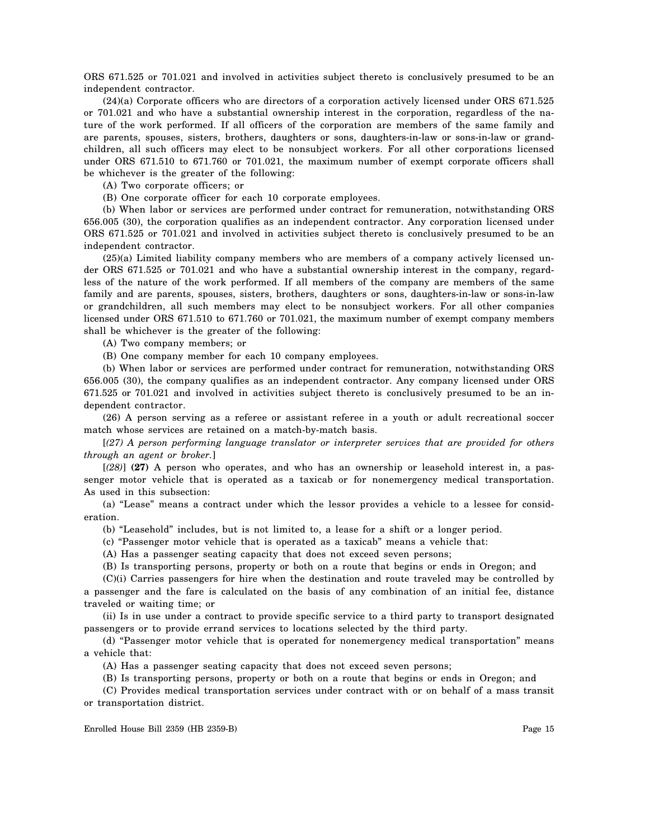ORS 671.525 or 701.021 and involved in activities subject thereto is conclusively presumed to be an independent contractor.

(24)(a) Corporate officers who are directors of a corporation actively licensed under ORS 671.525 or 701.021 and who have a substantial ownership interest in the corporation, regardless of the nature of the work performed. If all officers of the corporation are members of the same family and are parents, spouses, sisters, brothers, daughters or sons, daughters-in-law or sons-in-law or grandchildren, all such officers may elect to be nonsubject workers. For all other corporations licensed under ORS 671.510 to 671.760 or 701.021, the maximum number of exempt corporate officers shall be whichever is the greater of the following:

(A) Two corporate officers; or

(B) One corporate officer for each 10 corporate employees.

(b) When labor or services are performed under contract for remuneration, notwithstanding ORS 656.005 (30), the corporation qualifies as an independent contractor. Any corporation licensed under ORS 671.525 or 701.021 and involved in activities subject thereto is conclusively presumed to be an independent contractor.

(25)(a) Limited liability company members who are members of a company actively licensed under ORS 671.525 or 701.021 and who have a substantial ownership interest in the company, regardless of the nature of the work performed. If all members of the company are members of the same family and are parents, spouses, sisters, brothers, daughters or sons, daughters-in-law or sons-in-law or grandchildren, all such members may elect to be nonsubject workers. For all other companies licensed under ORS 671.510 to 671.760 or 701.021, the maximum number of exempt company members shall be whichever is the greater of the following:

(A) Two company members; or

(B) One company member for each 10 company employees.

(b) When labor or services are performed under contract for remuneration, notwithstanding ORS 656.005 (30), the company qualifies as an independent contractor. Any company licensed under ORS 671.525 or 701.021 and involved in activities subject thereto is conclusively presumed to be an independent contractor.

(26) A person serving as a referee or assistant referee in a youth or adult recreational soccer match whose services are retained on a match-by-match basis.

[*(27) A person performing language translator or interpreter services that are provided for others through an agent or broker.*]

[*(28)*] **(27)** A person who operates, and who has an ownership or leasehold interest in, a passenger motor vehicle that is operated as a taxicab or for nonemergency medical transportation. As used in this subsection:

(a) "Lease" means a contract under which the lessor provides a vehicle to a lessee for consideration.

(b) "Leasehold" includes, but is not limited to, a lease for a shift or a longer period.

(c) "Passenger motor vehicle that is operated as a taxicab" means a vehicle that:

(A) Has a passenger seating capacity that does not exceed seven persons;

(B) Is transporting persons, property or both on a route that begins or ends in Oregon; and

(C)(i) Carries passengers for hire when the destination and route traveled may be controlled by a passenger and the fare is calculated on the basis of any combination of an initial fee, distance traveled or waiting time; or

(ii) Is in use under a contract to provide specific service to a third party to transport designated passengers or to provide errand services to locations selected by the third party.

(d) "Passenger motor vehicle that is operated for nonemergency medical transportation" means a vehicle that:

(A) Has a passenger seating capacity that does not exceed seven persons;

(B) Is transporting persons, property or both on a route that begins or ends in Oregon; and

(C) Provides medical transportation services under contract with or on behalf of a mass transit or transportation district.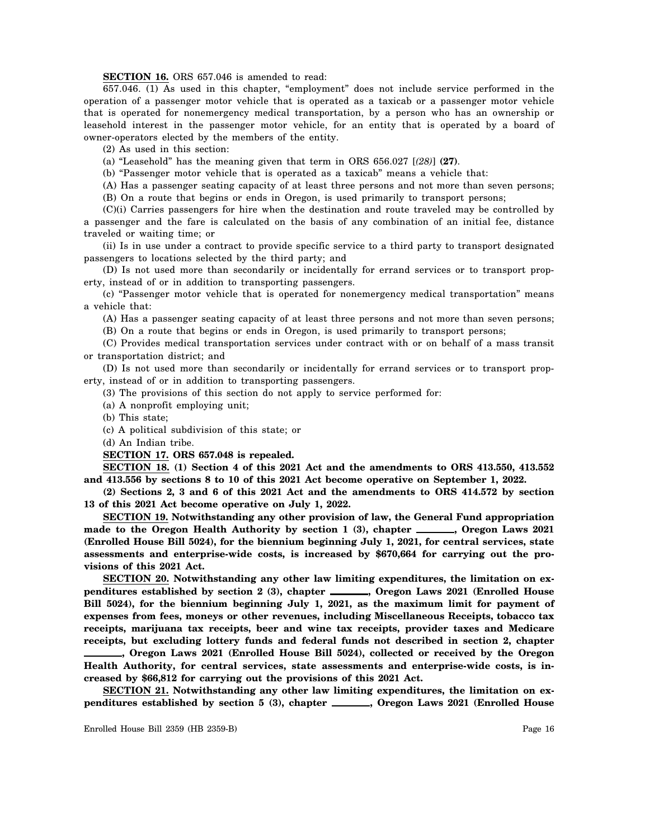### **SECTION 16.** ORS 657.046 is amended to read:

657.046. (1) As used in this chapter, "employment" does not include service performed in the operation of a passenger motor vehicle that is operated as a taxicab or a passenger motor vehicle that is operated for nonemergency medical transportation, by a person who has an ownership or leasehold interest in the passenger motor vehicle, for an entity that is operated by a board of owner-operators elected by the members of the entity.

(2) As used in this section:

(a) "Leasehold" has the meaning given that term in ORS 656.027 [*(28)*] **(27)**.

(b) "Passenger motor vehicle that is operated as a taxicab" means a vehicle that:

(A) Has a passenger seating capacity of at least three persons and not more than seven persons; (B) On a route that begins or ends in Oregon, is used primarily to transport persons;

(C)(i) Carries passengers for hire when the destination and route traveled may be controlled by a passenger and the fare is calculated on the basis of any combination of an initial fee, distance traveled or waiting time; or

(ii) Is in use under a contract to provide specific service to a third party to transport designated passengers to locations selected by the third party; and

(D) Is not used more than secondarily or incidentally for errand services or to transport property, instead of or in addition to transporting passengers.

(c) "Passenger motor vehicle that is operated for nonemergency medical transportation" means a vehicle that:

(A) Has a passenger seating capacity of at least three persons and not more than seven persons;

(B) On a route that begins or ends in Oregon, is used primarily to transport persons;

(C) Provides medical transportation services under contract with or on behalf of a mass transit or transportation district; and

(D) Is not used more than secondarily or incidentally for errand services or to transport property, instead of or in addition to transporting passengers.

(3) The provisions of this section do not apply to service performed for:

(a) A nonprofit employing unit;

(b) This state;

(c) A political subdivision of this state; or

(d) An Indian tribe.

**SECTION 17. ORS 657.048 is repealed.**

**SECTION 18. (1) Section 4 of this 2021 Act and the amendments to ORS 413.550, 413.552 and 413.556 by sections 8 to 10 of this 2021 Act become operative on September 1, 2022.**

**(2) Sections 2, 3 and 6 of this 2021 Act and the amendments to ORS 414.572 by section 13 of this 2021 Act become operative on July 1, 2022.**

**SECTION 19. Notwithstanding any other provision of law, the General Fund appropriation** made to the Oregon Health Authority by section 1 (3), chapter , Oregon Laws 2021 **(Enrolled House Bill 5024), for the biennium beginning July 1, 2021, for central services, state assessments and enterprise-wide costs, is increased by \$670,664 for carrying out the provisions of this 2021 Act.**

**SECTION 20. Notwithstanding any other law limiting expenditures, the limitation on expenditures established by section 2 (3), chapter \_\_\_\_\_, Oregon Laws 2021 (Enrolled House Bill 5024), for the biennium beginning July 1, 2021, as the maximum limit for payment of expenses from fees, moneys or other revenues, including Miscellaneous Receipts, tobacco tax receipts, marijuana tax receipts, beer and wine tax receipts, provider taxes and Medicare receipts, but excluding lottery funds and federal funds not described in section 2, chapter**

**, Oregon Laws 2021 (Enrolled House Bill 5024), collected or received by the Oregon Health Authority, for central services, state assessments and enterprise-wide costs, is increased by \$66,812 for carrying out the provisions of this 2021 Act.**

**SECTION 21. Notwithstanding any other law limiting expenditures, the limitation on expenditures established by section 5 (3), chapter \_\_\_\_\_, Oregon Laws 2021 (Enrolled House**